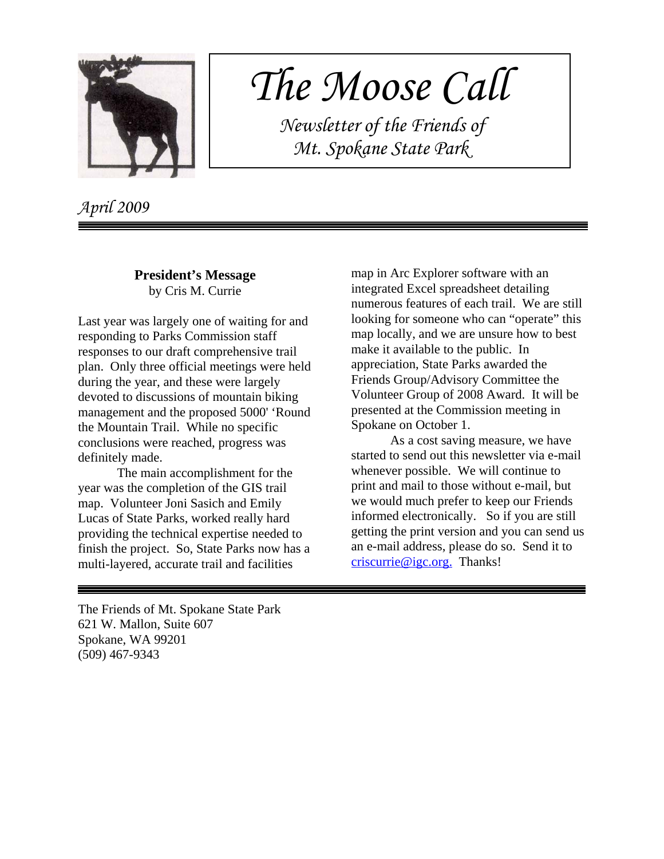

# *The Moose Call*

 *Newsletter of the Friends of Mt. Spokane State Park*

*April 2009*

# **President's Message** by Cris M. Currie

Last year was largely one of waiting for and responding to Parks Commission staff responses to our draft comprehensive trail plan. Only three official meetings were held during the year, and these were largely devoted to discussions of mountain biking management and the proposed 5000' 'Round the Mountain Trail. While no specific conclusions were reached, progress was definitely made.

The main accomplishment for the year was the completion of the GIS trail map. Volunteer Joni Sasich and Emily Lucas of State Parks, worked really hard providing the technical expertise needed to finish the project. So, State Parks now has a multi-layered, accurate trail and facilities

map in Arc Explorer software with an integrated Excel spreadsheet detailing numerous features of each trail. We are still looking for someone who can "operate" this map locally, and we are unsure how to best make it available to the public. In appreciation, State Parks awarded the Friends Group/Advisory Committee the Volunteer Group of 2008 Award. It will be presented at the Commission meeting in Spokane on October 1.

As a cost saving measure, we have started to send out this newsletter via e-mail whenever possible. We will continue to print and mail to those without e-mail, but we would much prefer to keep our Friends informed electronically. So if you are still getting the print version and you can send us an e-mail address, please do so. Send it to criscurrie@igc.org. Thanks!

The Friends of Mt. Spokane State Park 621 W. Mallon, Suite 607 Spokane, WA 99201 (509) 467-9343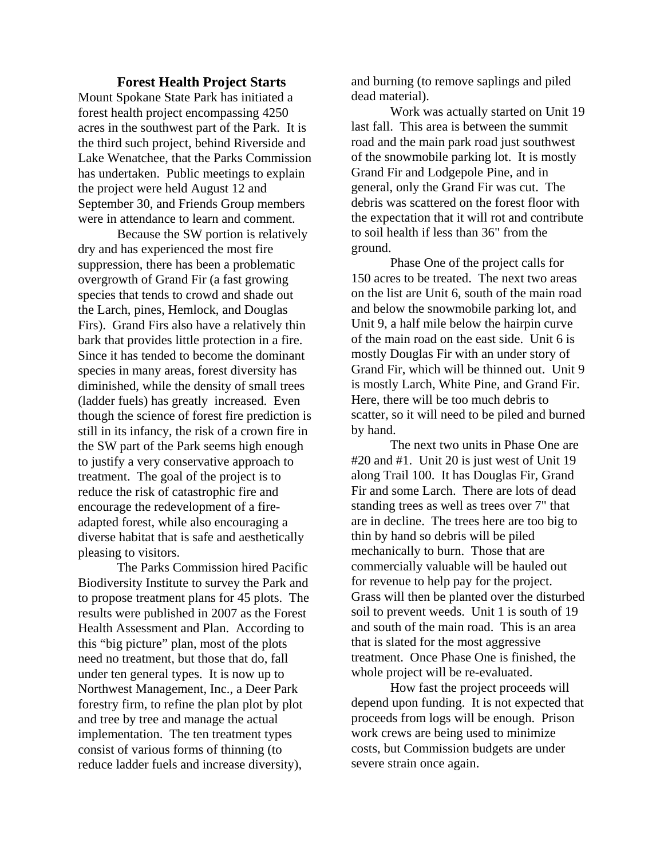#### **Forest Health Project Starts**

Mount Spokane State Park has initiated a forest health project encompassing 4250 acres in the southwest part of the Park. It is the third such project, behind Riverside and Lake Wenatchee, that the Parks Commission has undertaken. Public meetings to explain the project were held August 12 and September 30, and Friends Group members were in attendance to learn and comment.

Because the SW portion is relatively dry and has experienced the most fire suppression, there has been a problematic overgrowth of Grand Fir (a fast growing species that tends to crowd and shade out the Larch, pines, Hemlock, and Douglas Firs). Grand Firs also have a relatively thin bark that provides little protection in a fire. Since it has tended to become the dominant species in many areas, forest diversity has diminished, while the density of small trees (ladder fuels) has greatly increased. Even though the science of forest fire prediction is still in its infancy, the risk of a crown fire in the SW part of the Park seems high enough to justify a very conservative approach to treatment. The goal of the project is to reduce the risk of catastrophic fire and encourage the redevelopment of a fireadapted forest, while also encouraging a diverse habitat that is safe and aesthetically pleasing to visitors.

The Parks Commission hired Pacific Biodiversity Institute to survey the Park and to propose treatment plans for 45 plots. The results were published in 2007 as the Forest Health Assessment and Plan. According to this "big picture" plan, most of the plots need no treatment, but those that do, fall under ten general types. It is now up to Northwest Management, Inc., a Deer Park forestry firm, to refine the plan plot by plot and tree by tree and manage the actual implementation. The ten treatment types consist of various forms of thinning (to reduce ladder fuels and increase diversity),

and burning (to remove saplings and piled dead material).

Work was actually started on Unit 19 last fall. This area is between the summit road and the main park road just southwest of the snowmobile parking lot. It is mostly Grand Fir and Lodgepole Pine, and in general, only the Grand Fir was cut. The debris was scattered on the forest floor with the expectation that it will rot and contribute to soil health if less than 36" from the ground.

Phase One of the project calls for 150 acres to be treated. The next two areas on the list are Unit 6, south of the main road and below the snowmobile parking lot, and Unit 9, a half mile below the hairpin curve of the main road on the east side. Unit 6 is mostly Douglas Fir with an under story of Grand Fir, which will be thinned out. Unit 9 is mostly Larch, White Pine, and Grand Fir. Here, there will be too much debris to scatter, so it will need to be piled and burned by hand.

The next two units in Phase One are #20 and #1. Unit 20 is just west of Unit 19 along Trail 100. It has Douglas Fir, Grand Fir and some Larch. There are lots of dead standing trees as well as trees over 7" that are in decline. The trees here are too big to thin by hand so debris will be piled mechanically to burn. Those that are commercially valuable will be hauled out for revenue to help pay for the project. Grass will then be planted over the disturbed soil to prevent weeds. Unit 1 is south of 19 and south of the main road. This is an area that is slated for the most aggressive treatment. Once Phase One is finished, the whole project will be re-evaluated.

How fast the project proceeds will depend upon funding. It is not expected that proceeds from logs will be enough. Prison work crews are being used to minimize costs, but Commission budgets are under severe strain once again.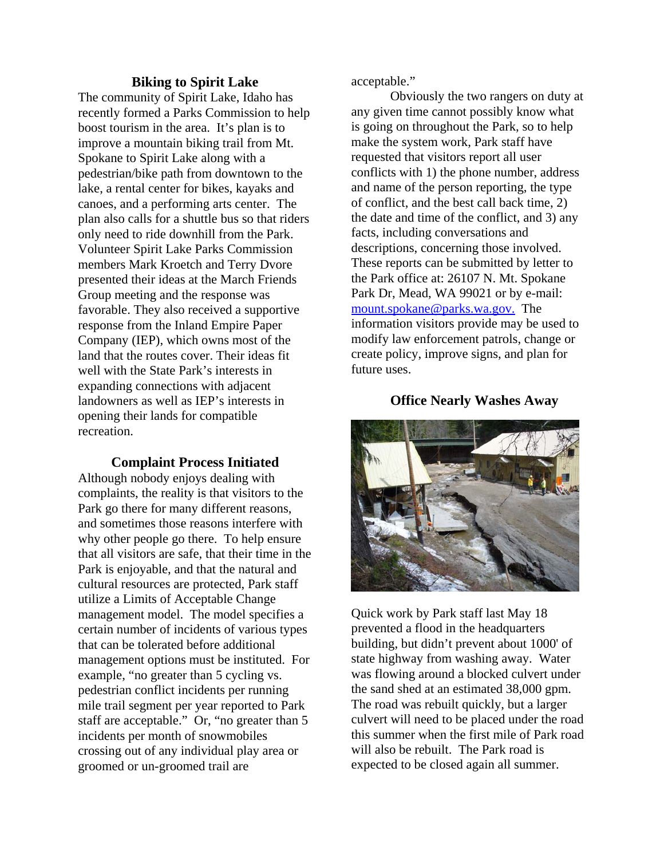#### **Biking to Spirit Lake**

The community of Spirit Lake, Idaho has recently formed a Parks Commission to help boost tourism in the area. It's plan is to improve a mountain biking trail from Mt. Spokane to Spirit Lake along with a pedestrian/bike path from downtown to the lake, a rental center for bikes, kayaks and canoes, and a performing arts center. The plan also calls for a shuttle bus so that riders only need to ride downhill from the Park. Volunteer Spirit Lake Parks Commission members Mark Kroetch and Terry Dvore presented their ideas at the March Friends Group meeting and the response was favorable. They also received a supportive response from the Inland Empire Paper Company (IEP), which owns most of the land that the routes cover. Their ideas fit well with the State Park's interests in expanding connections with adjacent landowners as well as IEP's interests in opening their lands for compatible recreation.

## **Complaint Process Initiated**

Although nobody enjoys dealing with complaints, the reality is that visitors to the Park go there for many different reasons, and sometimes those reasons interfere with why other people go there. To help ensure that all visitors are safe, that their time in the Park is enjoyable, and that the natural and cultural resources are protected, Park staff utilize a Limits of Acceptable Change management model. The model specifies a certain number of incidents of various types that can be tolerated before additional management options must be instituted. For example, "no greater than 5 cycling vs. pedestrian conflict incidents per running mile trail segment per year reported to Park staff are acceptable." Or, "no greater than 5 incidents per month of snowmobiles crossing out of any individual play area or groomed or un-groomed trail are

acceptable."

Obviously the two rangers on duty at any given time cannot possibly know what is going on throughout the Park, so to help make the system work, Park staff have requested that visitors report all user conflicts with 1) the phone number, address and name of the person reporting, the type of conflict, and the best call back time, 2) the date and time of the conflict, and 3) any facts, including conversations and descriptions, concerning those involved. These reports can be submitted by letter to the Park office at: 26107 N. Mt. Spokane Park Dr, Mead, WA 99021 or by e-mail: mount.spokane@parks.wa.gov. The information visitors provide may be used to modify law enforcement patrols, change or create policy, improve signs, and plan for future uses.

## **Office Nearly Washes Away**



Quick work by Park staff last May 18 prevented a flood in the headquarters building, but didn't prevent about 1000' of state highway from washing away. Water was flowing around a blocked culvert under the sand shed at an estimated 38,000 gpm. The road was rebuilt quickly, but a larger culvert will need to be placed under the road this summer when the first mile of Park road will also be rebuilt. The Park road is expected to be closed again all summer.